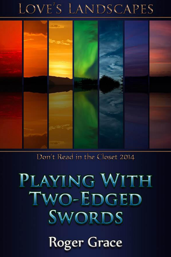# LOVE'S LANDSCAPES



Don't Read in the Closet 2014

# PLAYING WITH TWO-EDGED SWORDS

**Roger Grace**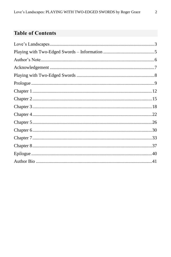# **Table of Contents**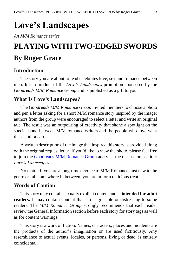# <span id="page-2-0"></span>**Love's Landscapes**

*An M/M Romance series*

# **PLAYING WITH TWO-EDGED SWORDS By Roger Grace**

#### **Introduction**

The story you are about to read celebrates love, sex and romance between men. It is a product of the *Love's Landscapes* promotion sponsored by the *Goodreads M/M Romance Group* and is published as a gift to you.

# **What Is Love's Landscapes?**

The *Goodreads M/M Romance Group* invited members to choose a photo and pen a letter asking for a short M/M romance story inspired by the image; authors from the group were encouraged to select a letter and write an original tale. The result was an outpouring of creativity that shone a spotlight on the special bond between M/M romance writers and the people who love what these authors do.

A written description of the image that inspired this story is provided along with the original request letter. If you'd like to view the photo, please feel free to join the [Goodreads M/M Romance Group](http://www.goodreads.com/group/show/20149-m-m-romance) and visit the discussion section: *Love's Landscapes*.

No matter if you are a long-time devotee to M/M Romance, just new to the genre or fall somewhere in between, you are in for a delicious treat.

#### **Words of Caution**

This story may contain sexually explicit content and is **intended for adult readers.** It may contain content that is disagreeable or distressing to some readers. The *M/M Romance Group* strongly recommends that each reader review the General Information section before each story for story tags as well as for content warnings.

This story is a work of fiction. Names, characters, places and incidents are the products of the author's imagination or are used fictitiously. Any resemblance to actual events, locales, or persons, living or dead, is entirely coincidental.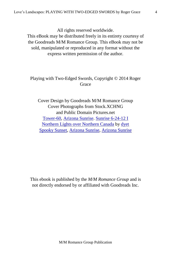All rights reserved worldwide.

This eBook may be distributed freely in its entirety courtesy of the Goodreads M/M Romance Group. This eBook may not be sold, manipulated or reproduced in any format without the express written permission of the author.

# Playing with Two-Edged Swords, Copyright © 2014 Roger **Grace**

Cover Design by Goodreads M/M Romance Group Cover Photographs from Stock.XCHNG and Public Domain Pictures.net [Tower-60,](http://www.publicdomainpictures.net/view-image.php?image=20138&picture=tower-60) [Arizona Sunrise.](http://www.publicdomainpictures.net/view-image.php?image=24129&picture=arizona-sunrise) [Sunrise 6-24-12 I](http://www.publicdomainpictures.net/view-image.php?image=23315&picture=sunrise-6-24-12-i) [Northern Lights over Northern Canada](http://www.sxc.hu/photo/1174630) by [dyet](http://www.sxc.hu/profile/dyet) [Spooky Sunset,](http://www.publicdomainpictures.net/view-image.php?image=26126&picture=spooky-sunset) [Arizona Sunrise,](http://www.publicdomainpictures.net/view-image.php?image=71234&picture=arizona-sunrise) [Arizona Sunrise](http://www.publicdomainpictures.net/view-image.php?image=24127&picture=arizona-sunrise)

This ebook is published by the *M/M Romance Group* and is not directly endorsed by or affiliated with Goodreads Inc.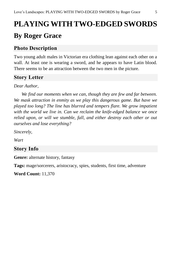# <span id="page-4-0"></span>**PLAYING WITH TWO-EDGED SWORDS By Roger Grace**

# **Photo Description**

Two young adult males in Victorian era clothing lean against each other on a wall. At least one is wearing a sword, and he appears to have Latin blood. There seems to be an attraction between the two men in the picture.

# **Story Letter**

# *Dear Author,*

*We find our moments when we can, though they are few and far between. We mask attraction in enmity as we play this dangerous game. But have we played too long? The line has blurred and tempers flare. We grow impatient with the world we live in. Can we reclaim the knife-edged balance we once relied upon, or will we stumble, fall, and either destroy each other or out ourselves and lose everything?*

*Sincerely,*

*Wart*

# **Story Info**

**Genre:** alternate history, fantasy

**Tags:** mage/sorcerers, aristocracy, spies, students, first time, adventure

**Word Count:** 11,370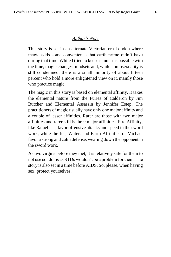#### *Author's Note*

<span id="page-5-0"></span>This story is set in an alternate Victorian era London where magic adds some convenience that earth prime didn't have during that time. While I tried to keep as much as possible with the time, magic changes mindsets and, while homosexuality is still condemned, there is a small minority of about fifteen percent who hold a more enlightened view on it, mainly those who practice magic.

The magic in this story is based on elemental affinity. It takes the elemental nature from the Furies of Calderon by Jim Butcher and Elemental Assassin by Jennifer Estep. The practitioners of magic usually have only one major affinity and a couple of lesser affinities. Rarer are those with two major affinities and rarer still is three major affinities. Fire Affinity, like Rafael has, favor offensive attacks and speed in the sword work, while the Ice, Water, and Earth Affinities of Michael favor a strong and calm defense, wearing down the opponent in the sword work.

As two virgins before they met, it is relatively safe for them to not use condoms as STDs wouldn't be a problem for them. The story is also set in a time before AIDS. So, please, when having sex, protect yourselves.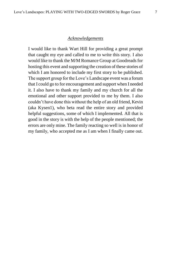#### *Acknowledgements*

<span id="page-6-0"></span>I would like to thank Wart Hill for providing a great prompt that caught my eye and called to me to write this story. I also would like to thank the M/M Romance Group at Goodreads for hosting this event and supporting the creation of these stories of which I am honored to include my first story to be published. The support group for the Love's Landscape event was a forum that I could go to for encouragement and support when I needed it. I also have to thank my family and my church for all the emotional and other support provided to me by them. I also couldn't have done this without the help of an old friend, Kevin (aka Kysen1), who beta read the entire story and provided helpful suggestions, some of which I implemented. All that is good in the story is with the help of the people mentioned; the errors are only mine. The family reacting so well is in honor of my family, who accepted me as I am when I finally came out.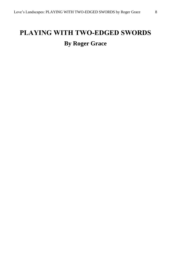# <span id="page-7-0"></span>**PLAYING WITH TWO-EDGED SWORDS By Roger Grace**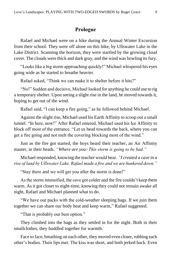### **Prologue**

<span id="page-8-0"></span>Rafael and Michael were on a hike during the Annual Winter Excursion from their school. They were off alone on this hike, by Ullswater Lake in the Lake District. Scanning the horizon, they were startled by the growing cloud cover. The clouds were thick and dark gray, and the wind was howling its fury.

"Looks like a big storm approaching quickly!" Michael whispered his eyes going wide as he started to breathe heavier.

Rafael asked, "Think we can make it to shelter before it hits?"

"No!" Sudden and decisive, Michael looked for anything he could use to rig a temporary shelter. Upon seeing a slight rise in the land, he moved towards it, hoping to get out of the wind.

Rafael said, "I can keep a fire going," as he followed behind Michael.

Against the slight rise, Michael used his Earth Affinity to scoop out a small tunnel. "In here, now!" After Rafael entered, Michael used his Ice Affinity to block off most of the entrance. "Let us head towards the back, where you can get a fire going and not melt the covering blocking most of the wind."

Just as the fire got started, the boys heard their teacher, an Air Affinity master, in their heads. *"Where are you? This storm is going to be bad."*

Michael responded, knowing the teacher would hear. *"I created a cave in a rise of land by Ullswater Lake. Rafael made a fire and we are hunkered down."*

"Stay there and we will get you after the storm is done!"

As the storm intensified, the cave got colder and the fire couldn't keep them warm. As it got closer to night-time, knowing they could not remain awake all night, Rafael and Michael planned what to do.

"We have our packs with the cold-weather sleeping bags. If we join them together we can share our body heat and keep warm," Rafael suggested.

"That is probably our best option."

They climbed into the bags as they settled in for the night. Both in their smallclothes, they huddled together for warmth.

Face to face, breathing on each other, they moved even closer, rubbing each other's bodies. Their lips met. The kiss was short, and both jerked back. Even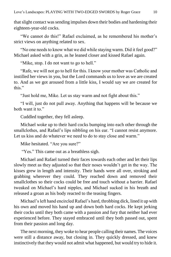that slight contact was sending impulses down their bodies and hardening their eighteen-year-old cocks.

"We cannot do this!" Rafael exclaimed, as he remembered his mother's strict views on anything related to sex.

"No one needs to know what we did while staying warm. Did it feel good?" Michael asked with a grin, as he leaned closer and kissed Rafael again.

"Mike, stop. I do not want to go to hell."

"Rafe, we will not go to hell for this. I know your mother was Catholic and instilled her views in you, but the Lord commands us to love as we are created to. And as we got aroused from a little kiss, I would say we are created for this."

"Just hold me, Mike. Let us stay warm and not fight about this."

"I will, just do not pull away. Anything that happens will be because we both want it to."

Cuddled together, they fell asleep.

Michael woke up to their hard cocks bumping into each other through the smallclothes, and Rafael's lips nibbling on his ear. "I cannot resist anymore. Let us kiss and do whatever we need to do to stay close and warm."

Mike hesitated. "Are you sure?"

"Yes." This came out as a breathless sigh.

Michael and Rafael turned their faces towards each other and let their lips slowly meet as they adjusted so that their noses wouldn't get in the way. The kisses grew in length and intensity. Their hands were all over, stroking and grabbing wherever they could. They reached down and removed their smallclothes so their cocks could be free and touch without a barrier. Rafael tweaked on Michael's hard nipples, and Michael sucked in his breath and released a groan as his body reacted to the teasing fingers.

Michael's left hand encircled Rafael's hard, throbbing dick, lined it up with his own and moved his hand up and down both hard cocks. He kept jerking their cocks until they both came with a passion and fury that neither had ever experienced before. They stayed embraced until they both passed out, spent from their passion and long day.

The next morning, they woke to hear people calling their names. The voices were still a distance away, but closing in. They quickly dressed, and knew instinctively that they would not admit what happened, but would try to hide it.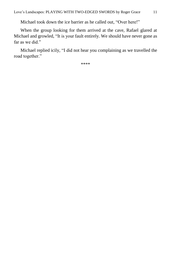Michael took down the ice barrier as he called out, "Over here!"

When the group looking for them arrived at the cave, Rafael glared at Michael and growled, "It is your fault entirely. We should have never gone as far as we did."

Michael replied icily, "I did not hear you complaining as we travelled the road together."

\*\*\*\*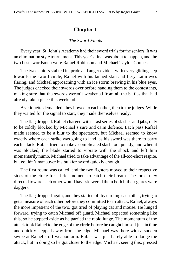#### **Chapter 1**

#### *The Sword Finals*

<span id="page-11-0"></span>Every year, St. John's Academy had their sword trials for the seniors. It was an elimination style tournament. This year'sfinal was about to happen, and the two best swordsmen were Rafael Robinson and Michael Taylor-Cooper.

The two seniors stalked in, pride and anger evident with every gliding step towards the sword circle, Rafael with his tanned skin and fiery Latin eyes flaring, and Michael approaching with an ice storm brewing in his blue eyes. The judges checked their swords over before handing them to the contestants, making sure that the swords weren't weakened from all the battles that had already taken place this weekend.

As etiquette demanded, they bowed to each other, then to the judges. While they waited for the signal to start, they made themselves ready.

The flag dropped. Rafael charged with a fast series of slashes and jabs, only to be coldly blocked by Michael's sure and calm defence. Each pass Rafael made seemed to be a blur to the spectators, but Michael seemed to know exactly where each strike was going to land, as his sword was there to parry each attack. Rafael tried to make a complicated slash too quickly, and when it was blocked, the blade started to vibrate with the shock and left him momentarily numb. Michael tried to take advantage of the all-too-short respite, but couldn't maneuver his bulkier sword quickly enough.

The first round was called, and the two fighters moved to their respective sides of the circle for a brief moment to catch their breath. The looks they directed toward each other would have skewered them both if their glares were daggers.

The flag dropped again, and they started off by circling each other, trying to get a measure of each other before they committed to an attack. Rafael, always the more impatient of the two, got tired of playing cat and mouse. He lunged forward, trying to catch Michael off guard. Michael expected something like this, so he stepped aside as he parried the rapid lunge. The momentum of the attack took Rafael to the edge of the circle before he caught himself just in time and quickly stepped away from the edge. Michael was there with a sudden swipe at Rafael's off-weapon arm. Rafael was just barely able to dodge the attack, but in doing so he got closer to the edge. Michael, seeing this, pressed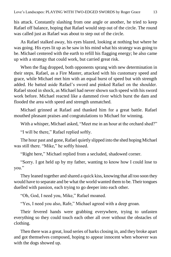his attack. Constantly slashing from one angle or another, he tried to keep Rafael off balance, hoping that Rafael would step out of the circle. The round was called just as Rafael was about to step out of the circle.

As Rafael stalked away, his eyes blazed, looking at nothing but where he was going. His eyes lit up as he saw in his mind what his strategy was going to be. Michael centered with the earth to refill his flagging energy; he also came up with a strategy that could work, but carried great risk.

When the flag dropped, both opponents sprang with new determination in their steps. Rafael, as a Fire Master, attacked with his customary speed and grace, while Michael met him with an equal burst of speed but with strength added. He batted aside Rafael's sword and pinked Rafael on the shoulder. Rafael stood in shock, as Michael had never shown such speed with his sword work before. Michael reacted like a dammed river which burst the dam and flooded the area with speed and strength unmatched.

Michael grinned at Rafael and thanked him for a great battle. Rafael mouthed pleasant praises and congratulations to Michael for winning.

With a whisper, Michael asked, "Meet me in an hour at the orchard shed?"

"I will be there," Rafael replied softly.

The hour past and gone, Rafael quietly slipped into the shed hoping Michael was still there. "Mike," he softly hissed.

"Right here," Michael replied from a secluded, shadowed corner.

"Sorry. I got held up by my father, wanting to know how I could lose to you."

They leaned together and shared a quick kiss, knowing that all too soon they would have to separate and be what the world wanted them to be. Their tongues duelled with passion, each trying to go deeper into each other.

"Oh, God, I need you, Mike," Rafael moaned.

"Yes, I need you also, Rafe," Michael agreed with a deep groan.

Their fevered hands were grabbing everywhere, trying to unfasten everything so they could touch each other all over without the obstacles of clothing.

Then there was a great, loud series of barks closing in, and they broke apart and got themselves composed, hoping to appear innocent when whoever was with the dogs showed up.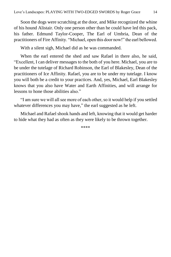Soon the dogs were scratching at the door, and Mike recognized the whine of his hound Alistair. Only one person other than he could have led this pack, his father. Edmund Taylor-Cooper, The Earl of Umbria, Dean of the practitioners of Fire Affinity. "Michael, open this door now!" the earl bellowed.

With a silent sigh, Michael did as he was commanded.

When the earl entered the shed and saw Rafael in there also, he said, "Excellent, I can deliver messages to the both of you here. Michael, you are to be under the tutelage of Richard Robinson, the Earl of Blakesley, Dean of the practitioners of Ice Affinity. Rafael, you are to be under my tutelage. I know you will both be a credit to your practices. And, yes, Michael, Earl Blakesley knows that you also have Water and Earth Affinities, and will arrange for lessons to hone those abilities also."

"I am sure we will all see more of each other, so it would help if you settled whatever differences you may have," the earl suggested as he left.

Michael and Rafael shook hands and left, knowing that it would get harder to hide what they had as often as they were likely to be thrown together.

\*\*\*\*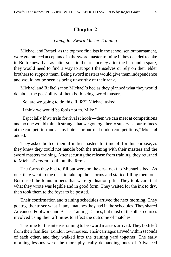## **Chapter 2**

#### *Going for Sword Master Training*

<span id="page-14-0"></span>Michael and Rafael, as the top two finalists in the school senior tournament, were guaranteed acceptance in the sword master training if they decided to take it. Both knew that, as latter sons in the aristocracy after the heir and a spare, they would need to find a way to support themselves or rely on their elder brothers to support them. Being sword masters would give them independence and would not be seen as being unworthy of their rank.

Michael and Rafael sat on Michael's bed as they planned what they would do about the possibility of them both being sword masters.

"So, are we going to do this, Rafe?" Michael asked.

"I think we would be fools not to, Mike."

"Especially if we train for rival schools—then we can meet at competitions and no one would think it strange that we got together to supervise our trainees at the competition and at any hotels for out-of-London competitions," Michael added.

They asked both of their affinities masters for time off for this purpose, as they knew they could not handle both the training with their masters and the sword masters training. After securing the release from training, they returned to Michael's room to fill out the forms.

The forms they had to fill out were on the desk next to Michael's bed. As one, they went to the desk to take up their forms and started filling them out. Both used the fountain pens that were graduation gifts. They took care that what they wrote was legible and in good form. They waited for the ink to dry, then took them to the foyer to be posted.

Their confirmation and training schedules arrived the next morning. They got together to see what, if any, matches they had in the schedules. They shared Advanced Footwork and Basic Training Tactics, but most of the other courses involved using their affinities to affect the outcome of matches.

The time for the intense training to be sword masters arrived. They both left from their families' London townhouses. Their carriages arrived within seconds of each other, and they walked into the training yard together. The early morning lessons were the more physically demanding ones of Advanced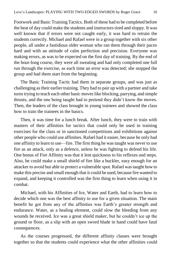Footwork and Basic Training Tactics. Both of these had to be completed before the heat of day could make the students and instructors tired and sloppy. It was well known that if errors were not caught early, it was hard to retrain the students correctly. Michael and Rafael were in a group together with six other people, all under a fastidious older woman who ran them through their paces hard and with an attitude of calm perfection and precision. Everyone was making errors, as was to be expected on the first day of training. By the end of the hour-long course, they were all sweating and had only completed one full run through the exercise, as each time an error was detected; she stopped the group and had them start from the beginning.

The Basic Training Tactic had them in separate groups, and was just as challenging as their earlier training. They had to pair up with a partner and take turns trying to teach each other basic moves like blocking, parrying, and simple thrusts, and the one being taught had to pretend they didn't know the moves. Then, the leaders of the class brought in young trainees and showed the class how to train the trainees in the basics.

Then, it was time for a lunch break. After lunch, they were to train with masters of their affinities for tactics that could only be used in training exercises for the class or in sanctioned competitions and exhibitions against other people who could use affinities. Rafael had it easier, because he only had one affinity to learn to use—fire. The first thing he was taught was never to use fire as an attack, only as a defence, unless he was fighting to defend his life. One bonus of Fire Affinity was that it lent quickness to his reflexes and steps. Also, he could make a small shield of fire like a buckler, easy enough for an attacker to avoid but able to protect a vulnerable spot. Rafael was taught how to make this precise and small enough that it could be used, because fire wanted to expand, and keeping it controlled was the first thing to learn when using it in combat.

Michael, with his Affinities of Ice, Water and Earth, had to learn how to decide which one was the best affinity to use for a given situation. The main benefit he got from any of the affinities was Earth's greater strength and endurance. Water, as a healing element, could slow the bleeding from any wounds he received. Ice was a great shield maker, but he couldn't ice up the ground or floor, as a slip with an open sword blade in hand could have fatal consequences.

As the courses progressed, the different affinity classes were brought together so that the students could experience what the other affinities could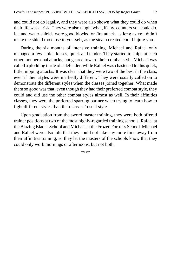and could not do legally, and they were also shown what they could do when their life was at risk. They were also taught what, if any, counters you could do. Ice and water shields were good blocks for fire attack, as long as you didn't make the shield too close to yourself, as the steam created could injure you.

During the six months of intensive training, Michael and Rafael only managed a few stolen kisses, quick and tender. They started to snipe at each other, not personal attacks, but geared toward their combat style. Michael was called a plodding turtle of a defender, while Rafael was chastened for his quick, little, nipping attacks. It was clear that they were two of the best in the class, even if their styles were markedly different. They were usually called on to demonstrate the different styles when the classes joined together. What made them so good was that, even though they had their preferred combat style, they could and did use the other combat styles almost as well. In their affinities classes, they were the preferred sparring partner when trying to learn how to fight different styles than their classes' usual style.

Upon graduation from the sword master training, they were both offered trainer positions at two of the most highly-regarded training schools, Rafael at the Blazing Blades School and Michael at the Frozen Fortress School. Michael and Rafael were also told that they could not take any more time away from their affinities training, so they let the masters of the schools know that they could only work mornings or afternoons, but not both.

\*\*\*\*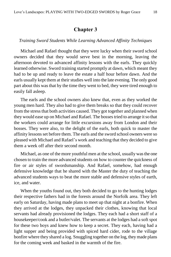#### **Chapter 3**

#### <span id="page-17-0"></span>*Training Sword Students While Learning Advanced Affinity Techniques*

Michael and Rafael thought that they were lucky when their sword school owners decided that they would serve best in the morning, leaving the afternoon devoted to advanced affinity lessons with the earls. They quickly learned otherwise. Sword training started promptly at dawn, which meant they had to be up and ready to leave the estate a half hour before dawn. And the earls usually kept them at their studies well into the late evening. The only good part about this was that by the time they went to bed, they were tired enough to easily fall asleep.

The earls and the school owners also knew that, even as they worked the young men hard. They also had to give them breaks so that they could recover from the stress that both activities caused. They got together and planned when they would ease up on Michael and Rafael. The bosses tried to arrange it so that the workers could arrange for little excursions away from London and their bosses. They were also, to the delight of the earls, both quick to master the affinity lessons set before them. The earls and the sword school owners were so pleased with Michael and Rafael's work and teaching that they decided to give them a week off after their second month.

Michael, as one of the more youthful men at the school, usually was the one chosen to train the more advanced students on how to counter the quickness of fire or air styles of swordsmanship. And Rafael, somehow, had enough defensive knowledge that he shared with the Master the duty of teaching the advanced students ways to beat the more stable and defensive styles of earth, ice, and water.

When the youths found out, they both decided to go to the hunting lodges their respective fathers had in the forests around the Norfolk area. They left early on Saturday, having made plans to meet up that night at a bonfire. When they arrived at the lodges, they unpacked their clothes, knowing that local servants had already provisioned the lodges. They each had a short staff of a housekeeper/cook and a butler/valet. The servants at the lodges had a soft spot for these two boys and knew how to keep a secret. They each, having had a light supper and being provided with spiced hard cider, rode to the village bonfire where they shared a log. Snuggling together on the log, they made plans for the coming week and basked in the warmth of the fire.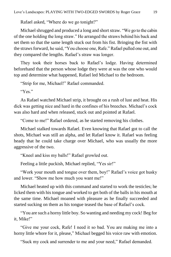Rafael asked, "Where do we go tonight?"

Michael shrugged and produced a long and short straw. "We go to the cabin of the one holding the long straw." He arranged the straws behind his back and set them so that the same length stuck out from his fist. Bringing the fist with the straws forward, he said, "You choose one, Rafe." Rafael pulled one out, and they compared the lengths. Rafael's straw was longer.

They took their horses back to Rafael's lodge. Having determined beforehand that the person whose lodge they were at was the one who would top and determine what happened, Rafael led Michael to the bedroom.

"Strip for me, Michael!" Rafael commanded.

"Yes."

As Rafael watched Michael strip, it brought on a rush of lust and heat. His dick was getting nice and hard in the confines of his breeches. Michael's cock was also hard and when released, stuck out and pointed at Rafael.

"Come to me!" Rafael ordered, as he started removing his clothes.

Michael stalked towards Rafael. Even knowing that Rafael got to call the shots, Michael was still an alpha, and let Rafael know it. Rafael was feeling heady that he could take charge over Michael, who was usually the more aggressive of the two.

"Kneel and kiss my balls!" Rafael growled out.

Feeling a little puckish, Michael replied, "Yes sir!"

"Work your mouth and tongue over them, boy!" Rafael's voice got husky and lower. "Show me how much you want me!"

Michael heated up with this command and started to work the testicles; he licked them with his tongue and worked to get both of the balls in his mouth at the same time. Michael moaned with pleasure as he finally succeeded and started sucking on them as his tongue teased the base of Rafael's cock.

"You are such a horny little boy. So wanting and needing my cock! Beg for it, Mike!"

"Give me your cock, Rafe! I need it so bad. You are making me into a horny little whore for it, please," Michael begged his voice raw with emotion.

"Suck my cock and surrender to me and your need," Rafael demanded.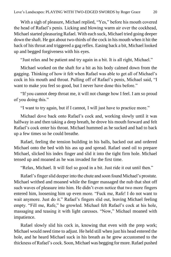With a sigh of pleasure, Michael replied, "Yes," before his mouth covered the head of Rafael's penis. Licking and blowing warm air over the cockhead, Michael started pleasuring Rafael. With each suck, Michael tried going deeper down the shaft. He got about two-thirds of the cock in his mouth when it hit the back of his throat and triggered a gag reflex. Easing back a bit, Michael looked up and begged forgiveness with his eyes.

"Just relax and be patient and try again in a bit. It is all right, Michael."

Michael worked on the shaft for a bit as his body calmed down from the gagging. Thinking of how it felt when Rafael was able to get all of Michael's cock in his mouth and throat. Pulling off of Rafael's penis, Michael said, "I want to make you feel so good, but I never have done this before."

"If you cannot deep throat me, it will not change how I feel. I am so proud of you doing this."

"I want to try again, but if I cannot, I will just have to practice more."

Michael dove back onto Rafael's cock and, working slowly until it was halfway in and then taking a deep breath, he drove his mouth forward and felt Rafael's cock enter his throat. Michael hummed as he sucked and had to back up a few times so he could breathe.

Rafael, feeling the tension building in his balls, backed out and ordered Michael onto the bed with his ass up and spread. Rafael used oil to prepare Michael, slicked his index finger and slid it into the tight firm hole. Michael tensed up and moaned as he was invaded for the first time.

"Relax, Michael. It will feel so good in a bit. Just ride it out until then."

Rafael's finger slid deeper into the chute and soon found Michael's prostate. Michael writhed and moaned while the finger massaged the nub that shot off such waves of pleasure into him. He didn't even notice that two more fingers entered him, loosening him up even more. "Fuck me, Rafe! I do not want to wait anymore. Just do it." Rafael's fingers slid out, leaving Michael feeling empty. "Fill me, Rafe," he growled. Michael felt Rafael's cock at his hole, massaging and teasing it with light caresses. "Now," Michael moaned with impatience.

Rafael slowly slid his cock in, knowing that even with the prep work; Michael would need time to adjust. He held still when just his head entered the hole, and he heard Michael suck in his breath as he grew accustomed to the thickness of Rafael's cock. Soon, Michael was begging for more. Rafael pushed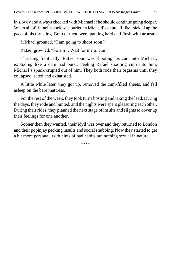in slowly and always checked with Michael if he should continue going deeper. When all of Rafael's cock was buried in Michael's chute, Rafael picked up the pace of his thrusting. Both of them were panting hard and flush with arousal.

Michael groaned, "I am going to shoot soon."

Rafael growled, "So am I. Wait for me to cum."

Thrusting frantically, Rafael soon was shooting his cum into Michael, exploding like a dam had burst. Feeling Rafael shooting cum into him, Michael's spunk erupted out of him. They both rode their orgasms until they collapsed, sated and exhausted.

A little while later, they got up, removed the cum-filled sheets, and fell asleep on the bare mattress.

For the rest of the week, they took turns hosting and taking the lead. During the days, they rode and hunted, and the nights were spent pleasuring each other. During their rides, they planned the next stage of insults and slights to cover up their feelings for one another.

Sooner then they wanted, their idyll was over and they returned to London and their popinjay pecking insults and social snubbing. Now they started to get a bit more personal, with hints of bad habits but nothing sexual in nature.

\*\*\*\*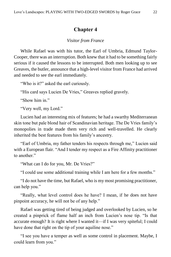### **Chapter 4**

#### *Visitor from France*

<span id="page-21-0"></span>While Rafael was with his tutor, the Earl of Umbria, Edmund Taylor-Cooper, there was an interruption. Both knew that it had to be something fairly serious if it caused the lessons to be interrupted. Both men looking up to see Greaves, the butler, announce that a high-level visitor from France had arrived and needed to see the earl immediately.

"Who is it?" asked the earl curiously.

"His card says Lucien De Vries," Greaves replied gravely.

"Show him in."

"Very well, my Lord."

Lucien had an interesting mix of features; he had a swarthy Mediterranean skin tone but pale blond hair of Scandinavian heritage. The De Vries family's monopolies in trade made them very rich and well-travelled. He clearly inherited the best features from his family's ancestry.

"Earl of Umbria, my father tenders his respects through me," Lucien said with a European flair. "And I tender my respect as a Fire Affinity practitioner to another."

"What can I do for you, Mr. De Vries?"

"I could use some additional training while I am here for a few months."

"I do not have the time, but Rafael, who is my most promising practitioner, can help you."

"Really, what level control does he have? I mean, if he does not have pinpoint accuracy, he will not be of any help."

Rafael was getting tired of being judged and overlooked by Lucien, so he created a pinprick of flame half an inch from Lucien's nose tip. "Is that accurate enough? It is right where I wanted it—if I was very spiteful; I could have done that right on the tip of your aquiline nose."

"I see you have a temper as well as some control in placement. Maybe, I could learn from you."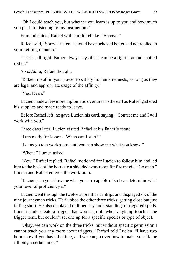"Oh I could teach you, but whether you learn is up to you and how much you put into listening to my instructions."

Edmund chided Rafael with a mild rebuke. "Behave."

Rafael said, "Sorry, Lucien. I should have behaved better and not replied to your nettling remarks."

"That is all right. Father always says that I can be a right brat and spoiled rotten<sup>"</sup>

*No kidding,* Rafael thought.

"Rafael, do all in your power to satisfy Lucien's requests, as long as they are legal and appropriate usage of the affinity."

"Yes, Dean."

Lucien made a few more diplomatic overtures to the earl as Rafael gathered his supplies and made ready to leave.

Before Rafael left, he gave Lucien his card, saying, "Contact me and I will work with you."

Three days later, Lucien visited Rafael at his father's estate.

"I am ready for lessons. When can I start?"

"Let us go to a workroom, and you can show me what you know."

"When?" Lucien asked

"Now," Rafael replied. Rafael motioned for Lucien to follow him and led him to the back of the house to a shielded workroom for fire magic. "Go on in." Lucien and Rafael entered the workroom.

"Lucien, can you show me what you are capable of so I can determine what your level of proficiency is?"

Lucien went through the twelve apprentice cantrips and displayed six of the nine journeymen tricks. He flubbed the other three tricks, getting close but just falling short. He also displayed rudimentary understanding of triggered spells. Lucien could create a trigger that would go off when anything touched the trigger item, but couldn't set one up for a specific species or type of object.

"Okay, we can work on the three tricks, but without specific permission I cannot teach you any more about triggers," Rafael told Lucien. "I have two hours now if you have the time, and we can go over how to make your flame fill only a certain area."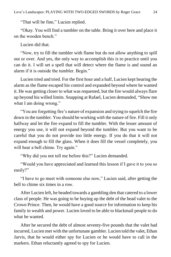"That will be fine," Lucien replied.

"Okay. You will find a tumbler on the table. Bring it over here and place it on the wooden bench."

Lucien did that.

"Now, try to fill the tumbler with flame but do not allow anything to spill out or over. And yes, the only way to accomplish this is to practice until you can do it. I will set a spell that will detect where the flame is and sound an alarm if it is outside the tumbler. Begin."

Lucien tried and tried. For the first hour and a half, Lucien kept hearing the alarm as the flame escaped his control and expanded beyond where he wanted it. He was getting closer to what was requested, but the fire would always flare up beyond his willed limits. Snapping at Rafael, Lucien demanded, "Show me what I am doing wrong."

"You are forgetting fire's nature of expansion and trying to squelch the fire down in the tumbler. You should be working *with* the nature of fire. Fill it only halfway and let the fire expand to fill the tumbler. With the lesser amount of energy you use, it will not expand beyond the tumbler. But you want to be careful that you do not provide too little energy. If you do that it will not expand enough to fill the glass. When it does fill the vessel completely, you will hear a bell chime. Try again."

"Why did you not tell me before this?" Lucien demanded.

"Would you have appreciated and learned this lesson if I gave it to you so easily?"

"I have to go meet with someone else now," Lucien said, after getting the bell to chime six times in a row.

After Lucien left, he headed towards a gambling den that catered to a lower class of people. He was going to be buying up the debt of the head valet to the Crown Prince. Then, he would have a good source for information to keep his family in wealth and power. Lucien loved to be able to blackmail people to do what he wanted.

After he secured the debt of almost seventy-five pounds that the valet had incurred, Lucien met with the unfortunate gambler. Lucien told the valet, Ethan Jarvis, that he would either spy for Lucien or he would have to call in the markers. Ethan reluctantly agreed to spy for Lucien.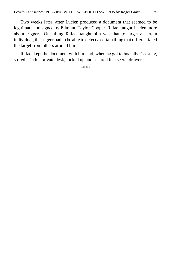Two weeks later, after Lucien produced a document that seemed to be legitimate and signed by Edmund Taylor-Cooper, Rafael taught Lucien more about triggers. One thing Rafael taught him was that to target a certain individual, the trigger had to be able to detect a certain thing that differentiated the target from others around him.

Rafael kept the document with him and, when he got to his father's estate, stored it in his private desk, locked up and secured in a secret drawer.

\*\*\*\*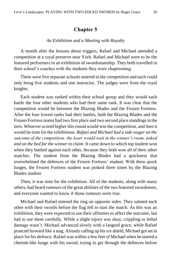#### **Chapter 5**

#### *An Exhibition and a Meeting with Royalty*

<span id="page-25-0"></span>A month after the lessons about triggers, Rafael and Michael attended a competition at a royal preserve near York. Rafael and Michael were to be the featured performers in an exhibition of swordsmanship. They both travelled in their school's coaches with the students they were chaperoning.

There were five separate schools entered in the competition and each could only bring five students and one instructor. The judges were from the royal knights.

Each student was ranked within their school group and they would each battle the four other students who had their same rank. It was clear that the competition would be between the Blazing Blades and the Frozen Fortress. After the four lowest ranks had their battles, both the Blazing Blades and the Frozen Fortress teams had two first place and two second place standings in the tiers. Whoever scored higher this round would win the competition, and then it would be time for the exhibitions. *Rafael and Michael had a side wager on the outcome of the competition: the loser would wait in the winner's room, naked and on the bed for the winner to claim.* It came down to which top student won when they battled against each other, because they both won all of their other matches. The student from the Blazing Blades had a quickness that overwhelmed the defences of the Frozen Fortress' student. With three quick lunges, the Frozen Fortress student was pinked three times by the Blazing Blades student.

Then, it was time for the exhibition. All of the students, along with many others, had heard rumours of the great abilities of the two featured swordsmen, and everyone wanted to know if those rumours were true.

Michael and Rafael entered the ring on opposite sides. They saluted each other with their swords before the flag fell to start the match. As this was an exhibition, they were expected to use their affinities to affect the outcome, but had to use them carefully. While a slight injury was okay, crippling or lethal damage wasn't. Michael advanced slowly with a languid grace, while Rafael pranced forward like a stag. Already calling up his ice shield, Michael got set in place for his defence. Rafael was within a few feet of Michael when he started a cheetah-like lunge with his sword, trying to get through the defences before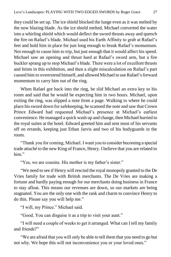they could be set up. The ice shield blocked the lunge even as it was melted by the now blazing blade. As the ice shield melted, Michael converted the water into a whirling shield which would deflect the sword thrusts away and quench the fire on Rafael's blade. Michael used his Earth Affinity to grab at Rafael's feet and hold him in place for just long enough to break Rafael's momentum. Not enough to cause him to trip, but just enough that it would affect his speed. Michael saw an opening and thrust hard at Rafael's sword arm, but a fire buckler sprang up to stop Michael's blade. There were a lot of excellent thrusts and feints in this exhibition, and then a slight miscalculation on Rafael's part caused him to overextend himself, and allowed Michael to use Rafael's forward momentum to carry him out of the ring.

When Rafael got back into the ring, he slid Michael an extra key to his room and said that he would be expecting him in two hours. Michael, upon exiting the ring, was slipped a note from a page. Walking to where he could place his sword down for safekeeping, he scanned the note and saw that Crown Prince Edward had requested Michael's presence at Michael's earliest convenience. He managed a quick wash up and change, then Michael hurried to the royal suites at the hotel. Edward greeted him and sent most of his servants off on errands, keeping just Ethan Jarvis and two of his bodyguards in the room.

"Thank you for coming, Michael. I want you to consider becoming a special trade attaché to the new King of France, Henry. I believe that you are related to him"

"Yes, we are cousins. His mother is my father's sister."

"We need to see if Henry will rescind the royal monopoly granted to the De Vries family for trade with British merchants. The De Vries are making a fortune and hardly paying enough for our merchants doing business in France to stay afloat. This means our revenues are down, so our markets are being stagnated. You are the only one with the rank and charm to convince Henry to do this. Please say you will help me."

"I will, my Prince." Michael said.

"Good. You can disguise it as a trip to visit your aunt."

"I will need a couple of weeks to get it arranged. What can I tell my family and friends?"

"We are afraid that you will only be able to tell them that you need to go but not why. We hope this will not inconvenience you or your loved ones."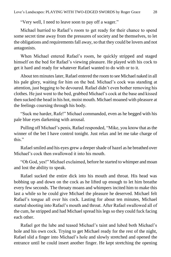"Very well, I need to leave soon to pay off a wager."

Michael hurried to Rafael's room to get ready for their chance to spend some secret time away from the pressures of society and be themselves, to let the obligations and requirements fall away, so that they could be lovers and not antagonists.

When Michael entered Rafael's room, he quickly stripped and staged himself on the bed for Rafael's viewing pleasure. He played with his cock to get it hard and ready for whatever Rafael wanted to do with or to it.

About ten minutes later, Rafael entered the room to see Michael naked in all his pale glory, waiting for him on the bed. Michael's cock was standing at attention, just begging to be devoured. Rafael didn't even bother removing his clothes. He just went to the bed, grabbed Michael's cock at the base and kissed then sucked the head in his hot, moist mouth. Michael moaned with pleasure at the feelings coursing through his body.

"Suck me harder, Rafe!" Michael commanded, even as he begged with his pale blue eyes darkening with arousal.

Pulling off Michael's penis, Rafael responded, "Mike, you know that as the winner of the bet I have control tonight. Just relax and let me take charge of this."

Rafael smiled and his eyes grew a deeper shade of hazel as he breathed over Michael's cock then swallowed it into his mouth.

"Oh God, yes!" Michael exclaimed, before he started to whimper and moan and lost the ability to speak.

Rafael sucked the entire dick into his mouth and throat. His head was bobbing up and down on the cock as he lifted up enough to let him breathe every few seconds. The throaty moans and whimpers incited him to make this last a while so he could give Michael the pleasure he deserved. Michael felt Rafael's tongue all over his cock. Lasting for about ten minutes, Michael started shooting into Rafael's mouth and throat. After Rafael swallowed all of the cum, he stripped and had Michael spread his legs so they could fuck facing each other.

Rafael got the lube and teased Michael's taint and lubed both Michael's hole and his own cock. Trying to get Michael ready for the rest of the night, Rafael slid a finger into Michael's hole and slowly stretched and opened the entrance until he could insert another finger. He kept stretching the opening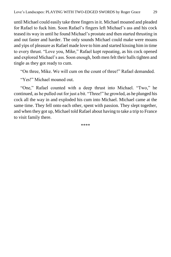until Michael could easily take three fingers in it. Michael moaned and pleaded for Rafael to fuck him. Soon Rafael's fingers left Michael's ass and his cock teased its way in until he found Michael's prostate and then started thrusting in and out faster and harder. The only sounds Michael could make were moans and yips of pleasure as Rafael made love to him and started kissing him in time to every thrust. "Love you, Mike," Rafael kept repeating, as his cock opened and explored Michael's ass. Soon enough, both men felt their balls tighten and tingle as they got ready to cum.

"On three, Mike. We will cum on the count of three!" Rafael demanded.

"Yes!" Michael moaned out.

"One," Rafael counted with a deep thrust into Michael. "Two," he continued, as he pulled out for just a bit. "Three!" he growled, as he plunged his cock all the way in and exploded his cum into Michael. Michael came at the same time. They fell onto each other, spent with passion. They slept together, and when they got up, Michael told Rafael about having to take a trip to France to visit family there.

\*\*\*\*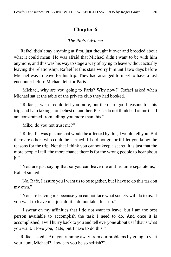## **Chapter 6**

#### *The Plots Advance*

<span id="page-29-0"></span>Rafael didn't say anything at first, just thought it over and brooded about what it could mean. He was afraid that Michael didn't want to be with him anymore, and this was his way to stage a way of trying to leave without actually leaving the relationship. Rafael let this state worry him until two days before Michael was to leave for his trip. They had arranged to meet to have a last encounter before Michael left for Paris.

"Michael, why are you going to Paris? Why now?" Rafael asked when Michael sat at the table of the private club they had booked.

"Rafael, I wish I could tell you more, but there are good reasons for this trip, and I am taking it on behest of another. Please do not think bad of me that I am constrained from telling you more than this."

"Mike, do you not trust me?"

"Rafe, if it was just me that would be affected by this, I would tell you. But there are others who could be harmed if I did not go, or if I let you know the reasons for the trip. Not that I think you cannot keep a secret, it is just that the more people I tell, the more chance there is for the wrong people to hear about it."

"You are just saying that so you can leave me and let time separate us," Rafael sulked.

"No, Rafe, I assure you I want us to be together, but I have to do this task on my own."

"You are leaving me because you cannot face what society will do to us. If you want to leave me, just do it – do not take this trip."

"I swear on my affinities that I do not want to leave, but I am the best person available to accomplish the task I need to do. And once it is accomplished, I will hurry back to you and tell everyone about us if that is what you want. I love you, Rafe, but I have to do this."

Rafael asked, "Are you running away from our problems by going to visit your aunt, Michael? How can you be so selfish?"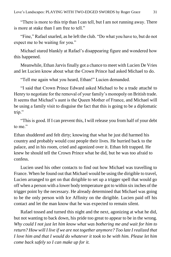"There is more to this trip than I can tell, but I am not running away. There is more at stake than I am free to tell."

"Fine," Rafael snarled, as he left the club. "Do what you have to, but do not expect me to be waiting for you."

Michael stared blankly at Rafael's disappearing figure and wondered how this happened.

Meanwhile, Ethan Jarvis finally got a chance to meet with Lucien De Vries and let Lucien know about what the Crown Prince had asked Michael to do.

"Tell me again what you heard, Ethan!" Lucien demanded.

"I said that Crown Prince Edward asked Michael to be a trade attaché to Henry to negotiate for the removal of your family's monopoly on British trade. It seems that Michael's aunt is the Queen Mother of France, and Michael will be using a family visit to disguise the fact that this is going to be a diplomatic trip."

"This is good. If I can prevent this, I will release you from half of your debt to me."

Ethan shuddered and felt dirty; knowing that what he just did harmed his country and probably would cost people their lives. He hurried back to the palace, and in his room, cried and agonized over it. Ethan felt trapped. He knew he should tell the Crown Prince what he did, but he was too afraid to confess.

Lucien used his other contacts to find out how Michael was travelling to France. When he found out that Michael would be using the dirigible to travel, Lucien arranged to get on that dirigible to set up a trigger spell that would go off when a person with a lower body temperature got to within six inches of the trigger point by the necessary. He already determined that Michael was going to be the only person with Ice Affinity on the dirigible. Lucien paid off his contact and let the man know that he was expected to remain silent.

Rafael tossed and turned this night and the next, agonizing at what he did, but not wanting to back down, his pride too great to appear to be in the wrong. *Why could I not just let him know what was bothering me and wait for him to return? How will I live if we are not together anymore? Too late I realized that I love him and that I would do whatever it took to be with him. Please let him come back safely so I can make up for it.*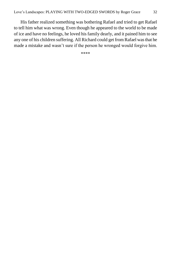His father realized something was bothering Rafael and tried to get Rafael to tell him what was wrong. Even though he appeared to the world to be made of ice and have no feelings, he loved his family dearly, and it pained him to see any one of his children suffering. All Richard could get from Rafael was that he made a mistake and wasn't sure if the person he wronged would forgive him.

\*\*\*\*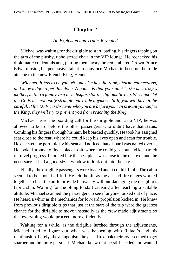#### **Chapter 7**

#### *An Explosion and Truths Revealed*

<span id="page-32-0"></span>Michael was waiting for the dirigible to start loading, his fingers tapping on the arm of the plushy, upholstered chair in the VIP lounge. He rechecked his diplomatic credentials and, putting them away, he remembered Crown Prince Edward using his persuasive talent to convince Michael to become the trade attaché to the new French King, Henri.

*'Michael, it has to be you. No one else has the rank, charm, connections, and knowledge to get this done. A bonus is that your aunt is the new King's mother, letting a family visit be a disguise for the diplomatic trip. We cannot let the De Vries monopoly strangle our trade anymore. Still, you will have to be careful. If the De Vries discover who you are before you can present yourself to the King, they will try to prevent you from reaching the King.'*

Michael heard the boarding call for the dirigible and, as a VIP, he was allowed to board before the other passengers who didn't have that status. Combing his fingers through his hair, he boarded quickly. He took his assigned seat close to the rear, where he could keep his eyes open and scan for trouble. He checked the porthole by his seat and noticed that a board was nailed over it. He looked around to find a place to sit, where he could gaze out and keep track of travel progress. It looked like the best place was close to the rear exit and the necessary. It had a good-sized window to look out into the sky.

Finally, the dirigible passengers were loaded and it could lift off. The cabin seemed to be about half full. He felt the lift as the air and fire mages worked together to heat the air to provide buoyancy without damaging the dirigible's fabric skin. Waiting for the blimp to start cruising after reaching a suitable altitude, Michael scanned the passengers to see if anyone looked out of place. He heard a whirr as the mechanics for forward propulsion kicked in. He knew from previous dirigible trips that just at the start of the trip were the greatest chance for the dirigible to move unsteadily as the crew made adjustments so that everything would proceed more efficiently.

Waiting for a while, as the dirigible lurched through the adjustments, Michael tried to figure out what was happening with Rafael's and his relationship. Lately, the antagonism they used to cloak their love seemed to get sharper and be more personal. Michael knew that he still needed and wanted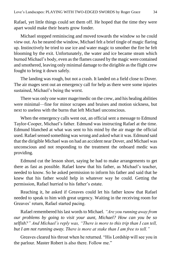Rafael, yet little things could set them off. He hoped that the time they were apart would make their hearts grow fonder.

Michael stopped reminiscing and moved towards the window so he could view out. As he neared the window, Michael felt a brief tingle of magic flaring up. Instinctively he tried to use ice and water magic to smother the fire he felt blooming by the exit. Unfortunately, the water and ice became steam which burned Michael's body, even as the flames caused by the magic were contained and smothered, leaving only minimal damage to the dirigible as the flight crew fought to bring it down safely.

The landing was rough, but not a crash. It landed on a field close to Dover. The air mages sent out an emergency call for help as there were some injuries sustained, Michael's being the worst.

There was only one water mage/medic on the crew, and his healing abilities were minimal—fine for minor scrapes and bruises and motion sickness, but next to useless with the burns that left Michael unconscious.

When the emergency calls went out, an official sent a message to Edmund Taylor-Cooper, Michael's father. Edmund was instructing Rafael at the time. Edmund blanched at what was sent to his mind by the air mage the official used. Rafael sensed something was wrong and asked what it was. Edmund said that the dirigible Michael was on had an accident near Dover, and Michael was unconscious and not responding to the treatment the onboard medic was providing.

Edmund cut the lesson short, saying he had to make arrangements to get there as fast as possible. Rafael knew that his father, as Michael's teacher, needed to know. So he asked permission to inform his father and said that he knew that his father would help in whatever way he could. Getting the permission, Rafael hurried to his father's estate.

Reaching it, he asked if Greaves could let his father know that Rafael needed to speak to him with great urgency. Waiting in the receiving room for Greaves' return, Rafael started pacing.

Rafael remembered his last words to Michael. *"Are you running away from our problems by going to visit your aunt, Michael? How can you be so selfish?" And Michael's reply was, "There is more to this trip than I can tell, but I am not running away. There is more at stake than I am free to tell."*

Greaves cleared his throat when he returned. "His Lordship will see you in the parlour. Master Robert is also there. Follow me."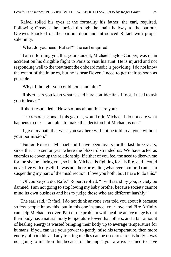Rafael rolled his eyes at the formality his father, the earl, required. Following Greaves, he hurried through the main hallway to the parlour. Greaves knocked on the parlour door and introduced Rafael with proper solemnity.

"What do you need, Rafael?" the earl enquired.

"I am informing you that your student, Michael Taylor-Cooper, was in an accident on his dirigible flight to Paris to visit his aunt. He is injured and not responding well to the treatment the onboard medic is providing. I do not know the extent of the injuries, but he is near Dover. I need to get their as soon as possible."

"Why? I thought you could not stand him."

"Robert, can you keep what is said here confidential? If not, I need to ask you to leave."

Robert responded, "How serious about this are you?"

"The repercussions, if this got out, would ruin Michael. I do not care what happens to me—I am able to make this decision but Michael is not."

"I give my oath that what you say here will not be told to anyone without your permission."

"Father, Robert—Michael and I have been lovers for the last three years, since that trip senior year where the blizzard stranded us. We have acted as enemies to cover up the relationship. If either of you feel the need to disown me for the shame I bring you, so be it. Michael is fighting for his life, and I could never live with myself if I was not there providing whatever comfort I can. I am suspending my part of the misdirection. I love you both, but I have to do this."

"Of course you do, Rafe," Robert replied. "I will stand by you, society be damned. I am not going to stop loving my baby brother because society cannot mind its own business and has to judge those who are different harshly."

The earl said, "Rafael, I do not think anyone ever told you about it because so few people know this, but in this one instance, your love and Fire Affinity can help Michael recover. Part of the problem with healing an ice mage is that their body has a natural body temperature lower than others, and a fair amount of healing energy is wasted bringing their body up to average temperature for humans. If you can use your power to gently raise his temperature, then more energy of both his and any treating medics can be used to cure his body. I was not going to mention this because of the anger you always seemed to have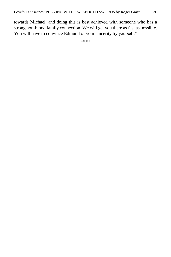towards Michael, and doing this is best achieved with someone who has a strong non-blood family connection. We will get you there as fast as possible. You will have to convince Edmund of your sincerity by yourself."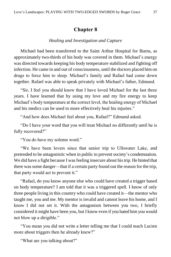### **Chapter 8**

#### *Healing and Investigation and Capture*

<span id="page-36-0"></span>Michael had been transferred to the Saint Arthur Hospital for Burns, as approximately two-thirds of his body was covered in them. Michael's energy was directed towards keeping his body temperature stabilized and fighting off infection. He came in and out of consciousness, until the doctors placed him on drugs to force him to sleep. Michael's family and Rafael had come down together. Rafael was able to speak privately with Michael's father, Edmund.

"Sir, I feel you should know that I have loved Michael for the last three years. I have learned that by using my love and my fire energy to keep Michael's body temperature at the correct level, the healing energy of Michael and his medics can be used to more effectively heal his injuries."

"And how does Michael feel about you, Rafael?" Edmund asked.

"Do I have your word that you will treat Michael no differently until he is fully recovered?"

"You do have my solemn word."

"We have been lovers since that senior trip to Ullswater Lake, and pretended to be antagonistic when in public to prevent society's condemnation. We did have a fight because I was feeling insecure about his trip. He hinted that there was some danger—that if a certain party found out the reason for the trip, that party would act to prevent it."

"Rafael, do you know anyone else who could have created a trigger based on body temperature? I am told that it was a triggered spell. I know of only three people living in this country who could have created it—the mentor who taught me, you and me. My mentor is invalid and cannot leave his home, and I know I did not set it. With the antagonism between you two, I briefly considered it might have been you, but I know even if you hated him you would not blow up a dirigible."

"You mean you did not write a letter telling me that I could teach Lucien more about triggers then he already knew?"

"What are you talking about?"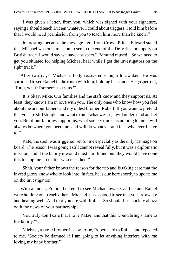"I was given a letter, from you, which was signed with your signature, saying I should teach Lucien whatever I could about triggers. I told him before that I would need permission from you to teach him more than he knew."

"Interesting, because the message I got from Crown Prince Edward stated that Michael was on a mission to see to the end of the De Vries monopoly on British trade. I would say we have a suspect," Edmund mused. "So we need to get you situated for helping Michael heal while I get the investigators on the right track."

After two days, Michael's body recovered enough to awaken. He was surprised to see Rafael in the room with him, holding his hands. He gasped out, "Rafe, what if someone sees us?"

"It is okay, Mike. Our families and the staff know and they support us. At least, they know I am in love with you. The only ones who know how you feel about me are our fathers and my oldest brother, Robert. If you want to pretend that you are still straight and want to hide what we are, I will understand and let you. But if our families support us, what society thinks is nothing to me. I will always be where you need me, and will do whatever and face whatever I have to."

"Rafe, the spell was triggered, set for me especially as the only ice mage on board. The reason I was going I still cannot reveal fully, but it was a diplomatic mission, and if the family it would most hurt found out, they would have done this to stop me no matter who else died."

"Shhh, your father knows the reason for the trip and is taking care that the investigators know who to look into. In fact, he is due here shortly to update me on the investigation."

With a knock, Edmund entered to see Michael awake, and he and Rafael were holding on to each other. "Michael, it is so good to see that you are awake and healing well. And that you are with Rafael. So should I set society abuzz with the news of your partnership?"

"You truly don't care that I love Rafael and that this would bring shame to the family?"

"Michael, as your brother-in-law-to-be, Robert said to Rafael and repeated to me, 'Society be damned if I am going to let anything interfere with me loving my baby brother."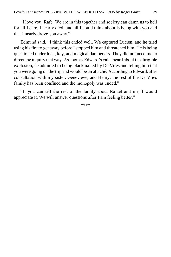"I love you, Rafe. We are in this together and society can damn us to hell for all I care. I nearly died, and all I could think about is being with you and that I nearly drove you away."

Edmund said, "I think this ended well. We captured Lucien, and he tried using his fire to get away before I stopped him and threatened him. He is being questioned under lock, key, and magical dampeners. They did not need me to direct the inquiry that way. As soon as Edward's valet heard about the dirigible explosion, he admitted to being blackmailed by De Vries and telling him that you were going on the trip and would be an attaché. According to Edward, after consultation with my sister, Genevieve, and Henry, the rest of the De Vries family has been confined and the monopoly was ended."

"If you can tell the rest of the family about Rafael and me, I would appreciate it. We will answer questions after I am feeling better."

\*\*\*\*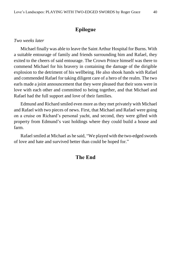# **Epilogue**

#### <span id="page-39-0"></span>*Two weeks later*

Michael finally was able to leave the Saint Arthur Hospital for Burns. With a suitable entourage of family and friends surrounding him and Rafael, they exited to the cheers of said entourage. The Crown Prince himself was there to commend Michael for his bravery in containing the damage of the dirigible explosion to the detriment of his wellbeing. He also shook hands with Rafael and commended Rafael for taking diligent care of a hero of the realm. The two earls made a joint announcement that they were pleased that their sons were in love with each other and committed to being together, and that Michael and Rafael had the full support and love of their families.

Edmund and Richard smiled even more as they met privately with Michael and Rafael with two pieces of news. First, that Michael and Rafael were going on a cruise on Richard's personal yacht, and second, they were gifted with property from Edmund's vast holdings where they could build a house and farm.

Rafael smiled at Michael as he said, "We played with the two-edged swords of love and hate and survived better than could be hoped for."

# **The End**